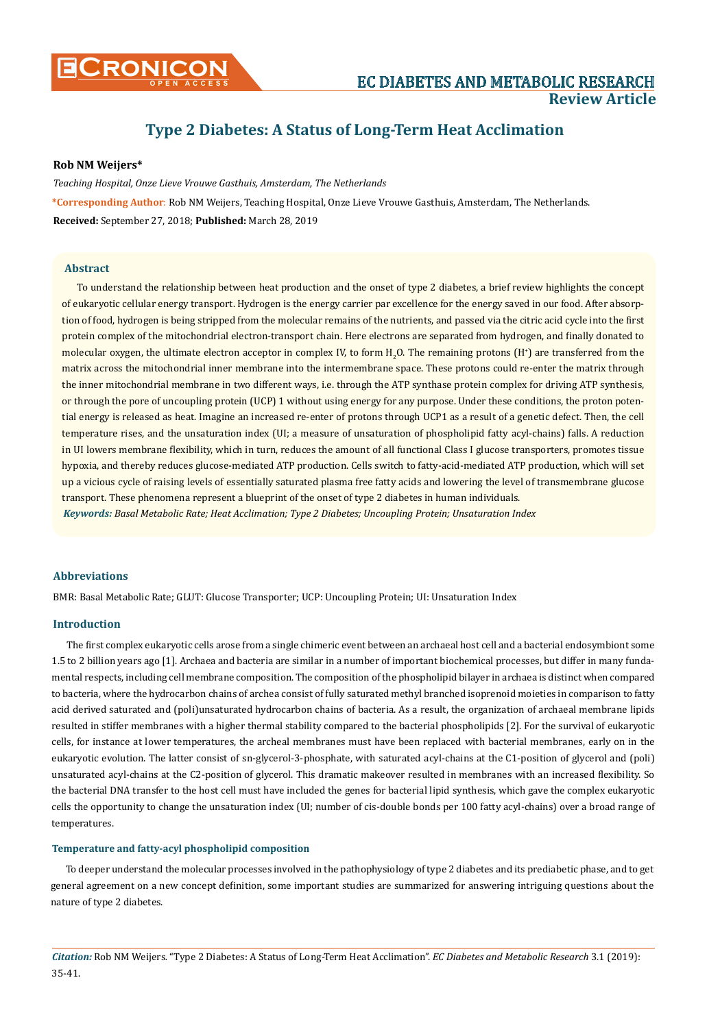

# **Type 2 Diabetes: A Status of Long-Term Heat Acclimation**

# **Rob NM Weijers\***

*Teaching Hospital, Onze Lieve Vrouwe Gasthuis, Amsterdam, The Netherlands* **\*Corresponding Author**: Rob NM Weijers, Teaching Hospital, Onze Lieve Vrouwe Gasthuis, Amsterdam, The Netherlands. **Received:** September 27, 2018; **Published:** March 28, 2019

# **Abstract**

To understand the relationship between heat production and the onset of type 2 diabetes, a brief review highlights the concept of eukaryotic cellular energy transport. Hydrogen is the energy carrier par excellence for the energy saved in our food. After absorption of food, hydrogen is being stripped from the molecular remains of the nutrients, and passed via the citric acid cycle into the first protein complex of the mitochondrial electron-transport chain. Here electrons are separated from hydrogen, and finally donated to molecular oxygen, the ultimate electron acceptor in complex IV, to form  $\rm H_2O$ . The remaining protons (H<sup>+</sup>) are transferred from the matrix across the mitochondrial inner membrane into the intermembrane space. These protons could re-enter the matrix through the inner mitochondrial membrane in two different ways, i.e. through the ATP synthase protein complex for driving ATP synthesis, or through the pore of uncoupling protein (UCP) 1 without using energy for any purpose. Under these conditions, the proton potential energy is released as heat. Imagine an increased re-enter of protons through UCP1 as a result of a genetic defect. Then, the cell temperature rises, and the unsaturation index (UI; a measure of unsaturation of phospholipid fatty acyl-chains) falls. A reduction in UI lowers membrane flexibility, which in turn, reduces the amount of all functional Class I glucose transporters, promotes tissue hypoxia, and thereby reduces glucose-mediated ATP production. Cells switch to fatty-acid-mediated ATP production, which will set up a vicious cycle of raising levels of essentially saturated plasma free fatty acids and lowering the level of transmembrane glucose transport. These phenomena represent a blueprint of the onset of type 2 diabetes in human individuals. *Keywords: Basal Metabolic Rate; Heat Acclimation; Type 2 Diabetes; Uncoupling Protein; Unsaturation Index*

#### **Abbreviations**

BMR: Basal Metabolic Rate; GLUT: Glucose Transporter; UCP: Uncoupling Protein; UI: Unsaturation Index

### **Introduction**

The first complex eukaryotic cells arose from a single chimeric event between an archaeal host cell and a bacterial endosymbiont some 1.5 to 2 billion years ago [1]. Archaea and bacteria are similar in a number of important biochemical processes, but differ in many fundamental respects, including cell membrane composition. The composition of the phospholipid bilayer in archaea is distinct when compared to bacteria, where the hydrocarbon chains of archea consist of fully saturated methyl branched isoprenoid moieties in comparison to fatty acid derived saturated and (poli)unsaturated hydrocarbon chains of bacteria. As a result, the organization of archaeal membrane lipids resulted in stiffer membranes with a higher thermal stability compared to the bacterial phospholipids [2]. For the survival of eukaryotic cells, for instance at lower temperatures, the archeal membranes must have been replaced with bacterial membranes, early on in the eukaryotic evolution. The latter consist of sn-glycerol-3-phosphate, with saturated acyl-chains at the C1-position of glycerol and (poli) unsaturated acyl-chains at the C2-position of glycerol. This dramatic makeover resulted in membranes with an increased flexibility. So the bacterial DNA transfer to the host cell must have included the genes for bacterial lipid synthesis, which gave the complex eukaryotic cells the opportunity to change the unsaturation index (UI; number of cis-double bonds per 100 fatty acyl-chains) over a broad range of temperatures.

### **Temperature and fatty-acyl phospholipid composition**

To deeper understand the molecular processes involved in the pathophysiology of type 2 diabetes and its prediabetic phase, and to get general agreement on a new concept definition, some important studies are summarized for answering intriguing questions about the nature of type 2 diabetes.

*Citation:* Rob NM Weijers*.* "Type 2 Diabetes: A Status of Long-Term Heat Acclimation". *EC Diabetes and Metabolic Research* 3.1 (2019): 35-41.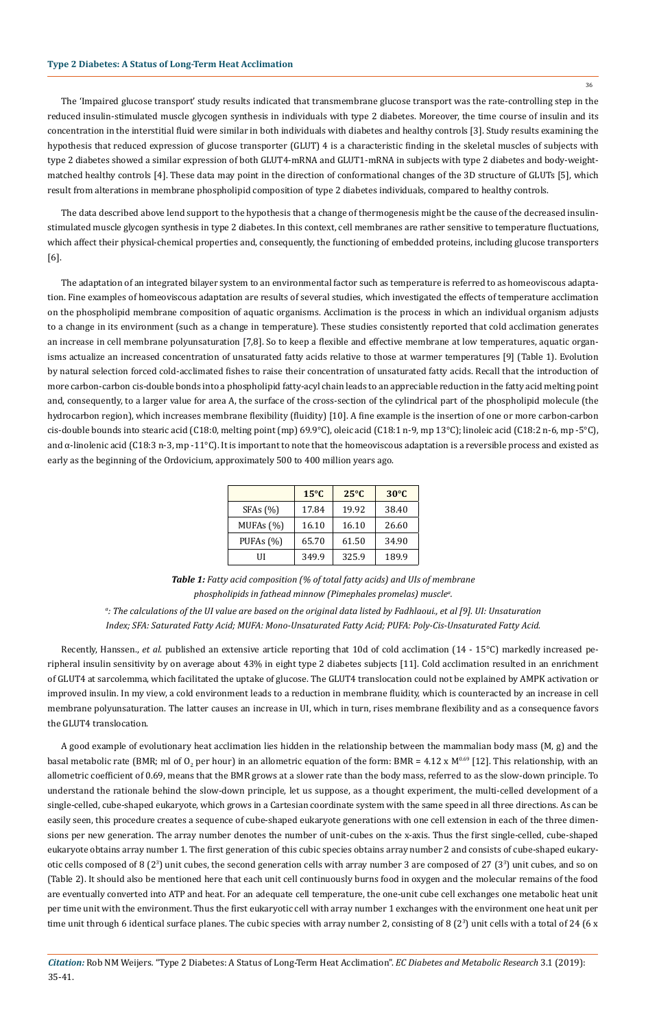The 'Impaired glucose transport' study results indicated that transmembrane glucose transport was the rate-controlling step in the reduced insulin-stimulated muscle glycogen synthesis in individuals with type 2 diabetes. Moreover, the time course of insulin and its concentration in the interstitial fluid were similar in both individuals with diabetes and healthy controls [3]. Study results examining the hypothesis that reduced expression of glucose transporter (GLUT) 4 is a characteristic finding in the skeletal muscles of subjects with type 2 diabetes showed a similar expression of both GLUT4-mRNA and GLUT1-mRNA in subjects with type 2 diabetes and body-weightmatched healthy controls [4]. These data may point in the direction of conformational changes of the 3D structure of GLUTs [5], which result from alterations in membrane phospholipid composition of type 2 diabetes individuals, compared to healthy controls.

The data described above lend support to the hypothesis that a change of thermogenesis might be the cause of the decreased insulinstimulated muscle glycogen synthesis in type 2 diabetes. In this context, cell membranes are rather sensitive to temperature fluctuations, which affect their physical-chemical properties and, consequently, the functioning of embedded proteins, including glucose transporters [6].

The adaptation of an integrated bilayer system to an environmental factor such as temperature is referred to as homeoviscous adaptation. Fine examples of homeoviscous adaptation are results of several studies, which investigated the effects of temperature acclimation on the phospholipid membrane composition of aquatic organisms. Acclimation is the process in which an individual organism adjusts to a change in its environment (such as a change in temperature). These studies consistently reported that cold acclimation generates an increase in cell membrane polyunsaturation [7,8]. So to keep a flexible and effective membrane at low temperatures, aquatic organisms actualize an increased concentration of unsaturated fatty acids relative to those at warmer temperatures [9] (Table 1). Evolution by natural selection forced cold-acclimated fishes to raise their concentration of unsaturated fatty acids. Recall that the introduction of more carbon-carbon cis-double bonds into a phospholipid fatty-acyl chain leads to an appreciable reduction in the fatty acid melting point and, consequently, to a larger value for area A, the surface of the cross-section of the cylindrical part of the phospholipid molecule (the hydrocarbon region), which increases membrane flexibility (fluidity) [10]. A fine example is the insertion of one or more carbon-carbon cis-double bounds into stearic acid (C18:0, melting point (mp) 69.9°C), oleic acid (C18:1 n-9, mp 13°C); linoleic acid (C18:2 n-6, mp -5°C), and  $\alpha$ -linolenic acid (C18:3 n-3, mp -11°C). It is important to note that the homeoviscous adaptation is a reversible process and existed as early as the beginning of the Ordovicium, approximately 500 to 400 million years ago.

|              | $15^{\circ}$ C | $25^{\circ}C$ | $30^{\circ}$ C |
|--------------|----------------|---------------|----------------|
| SFAs (%)     | 17.84          | 19.92         | 38.40          |
| MUFAs $(%)$  | 16.10          | 16.10         | 26.60          |
| PUFAs $(\%)$ | 65.70          | 61.50         | 34.90          |
| UГ           | 349.9          | 325.9         | 189.9          |

*Table 1: Fatty acid composition (% of total fatty acids) and UIs of membrane phospholipids in fathead minnow (Pimephales promelas) musclea .*

*a : The calculations of the UI value are based on the original data listed by Fadhlaoui., et al [9]. UI: Unsaturation Index; SFA: Saturated Fatty Acid; MUFA: Mono-Unsaturated Fatty Acid; PUFA: Poly-Cis-Unsaturated Fatty Acid.*

Recently, Hanssen., *et al*. published an extensive article reporting that 10d of cold acclimation (14 - 15°C) markedly increased peripheral insulin sensitivity by on average about 43% in eight type 2 diabetes subjects [11]. Cold acclimation resulted in an enrichment of GLUT4 at sarcolemma, which facilitated the uptake of glucose. The GLUT4 translocation could not be explained by AMPK activation or improved insulin. In my view, a cold environment leads to a reduction in membrane fluidity, which is counteracted by an increase in cell membrane polyunsaturation. The latter causes an increase in UI, which in turn, rises membrane flexibility and as a consequence favors the GLUT4 translocation.

A good example of evolutionary heat acclimation lies hidden in the relationship between the mammalian body mass (M, g) and the basal metabolic rate (BMR; ml of O<sub>2</sub> per hour) in an allometric equation of the form: BMR = 4.12 x M<sup>0.69</sup> [12]. This relationship, with an allometric coefficient of 0.69, means that the BMR grows at a slower rate than the body mass, referred to as the slow-down principle. To understand the rationale behind the slow-down principle, let us suppose, as a thought experiment, the multi-celled development of a single-celled, cube-shaped eukaryote, which grows in a Cartesian coordinate system with the same speed in all three directions. As can be easily seen, this procedure creates a sequence of cube-shaped eukaryote generations with one cell extension in each of the three dimensions per new generation. The array number denotes the number of unit-cubes on the x-axis. Thus the first single-celled, cube-shaped eukaryote obtains array number 1. The first generation of this cubic species obtains array number 2 and consists of cube-shaped eukaryotic cells composed of 8 (2<sup>3</sup>) unit cubes, the second generation cells with array number 3 are composed of 27 (3<sup>3</sup>) unit cubes, and so on (Table 2). It should also be mentioned here that each unit cell continuously burns food in oxygen and the molecular remains of the food are eventually converted into ATP and heat. For an adequate cell temperature, the one-unit cube cell exchanges one metabolic heat unit per time unit with the environment. Thus the first eukaryotic cell with array number 1 exchanges with the environment one heat unit per time unit through 6 identical surface planes. The cubic species with array number 2, consisting of 8 (2<sup>3</sup>) unit cells with a total of 24 (6 x

36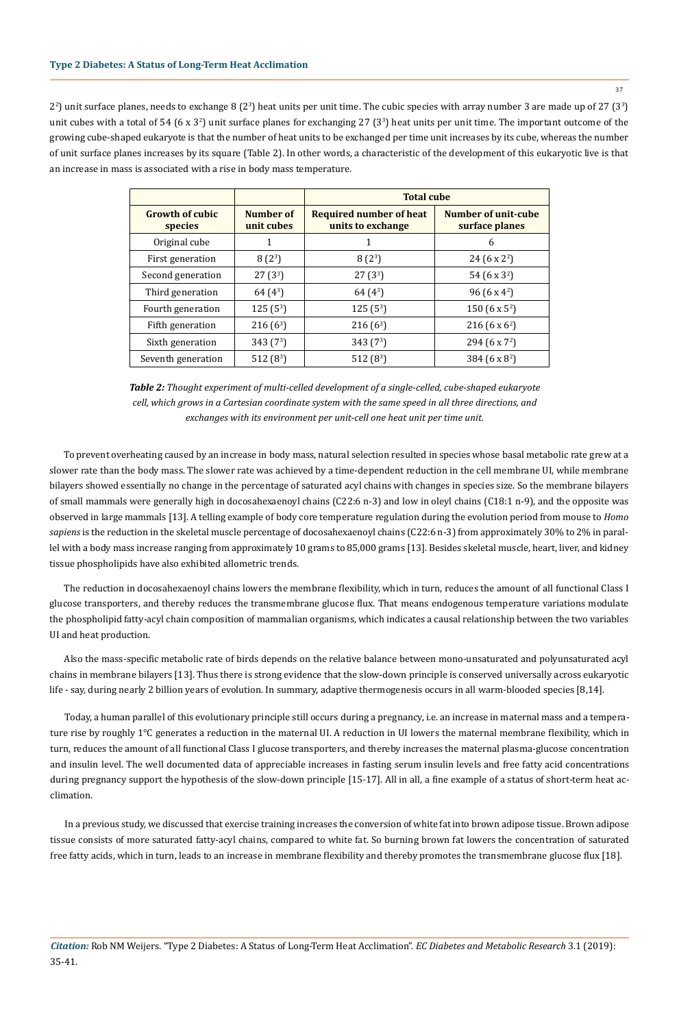37

 $2^2$ ) unit surface planes, needs to exchange 8 ( $2^3$ ) heat units per unit time. The cubic species with array number 3 are made up of 27 ( $3^3$ ) unit cubes with a total of 54 (6 x 3<sup>2</sup>) unit surface planes for exchanging 27 (3<sup>3</sup>) heat units per unit time. The important outcome of the growing cube-shaped eukaryote is that the number of heat units to be exchanged per time unit increases by its cube, whereas the number of unit surface planes increases by its square (Table 2). In other words, a characteristic of the development of this eukaryotic live is that an increase in mass is associated with a rise in body mass temperature.

|                                   |                         | <b>Total cube</b>                            |                                       |
|-----------------------------------|-------------------------|----------------------------------------------|---------------------------------------|
| <b>Growth of cubic</b><br>species | Number of<br>unit cubes | Required number of heat<br>units to exchange | Number of unit-cube<br>surface planes |
| Original cube                     | 1                       |                                              | 6                                     |
| First generation                  | $8(2^3)$                | $8(2^3)$                                     | $24(6 \times 2^2)$                    |
| Second generation                 | $27(3^3)$               | $27(3^3)$                                    | 54 (6 x 3 <sup>2</sup> )              |
| Third generation                  | $64(4^3)$               | $64(4^3)$                                    | 96 (6 x 4 <sup>2</sup> )              |
| Fourth generation                 | $125(5^3)$              | $125(5^3)$                                   | 150 (6 x 5 <sup>2</sup> )             |
| Fifth generation                  | $216(6^3)$              | $216(6^3)$                                   | 216 (6 $\times$ 6 <sup>2</sup> )      |
| Sixth generation                  | 343 $(7^3)$             | 343 $(7^3)$                                  | 294 (6 x $7^2$ )                      |
| Seventh generation                | 512 $(8^3)$             | 512 $(8^3)$                                  | 384 (6 x 8 <sup>2</sup> )             |

*Table 2: Thought experiment of multi-celled development of a single-celled, cube-shaped eukaryote cell, which grows in a Cartesian coordinate system with the same speed in all three directions, and exchanges with its environment per unit-cell one heat unit per time unit.*

To prevent overheating caused by an increase in body mass, natural selection resulted in species whose basal metabolic rate grew at a slower rate than the body mass. The slower rate was achieved by a time-dependent reduction in the cell membrane UI, while membrane bilayers showed essentially no change in the percentage of saturated acyl chains with changes in species size. So the membrane bilayers of small mammals were generally high in docosahexaenoyl chains (C22:6 n-3) and low in oleyl chains (C18:1 n-9), and the opposite was observed in large mammals [13]. A telling example of body core temperature regulation during the evolution period from mouse to *Homo sapiens* is the reduction in the skeletal muscle percentage of docosahexaenoyl chains (C22:6 n-3) from approximately 30% to 2% in parallel with a body mass increase ranging from approximately 10 grams to 85,000 grams [13]. Besides skeletal muscle, heart, liver, and kidney tissue phospholipids have also exhibited allometric trends.

The reduction in docosahexaenoyl chains lowers the membrane flexibility, which in turn, reduces the amount of all functional Class I glucose transporters, and thereby reduces the transmembrane glucose flux. That means endogenous temperature variations modulate the phospholipid fatty-acyl chain composition of mammalian organisms, which indicates a causal relationship between the two variables UI and heat production.

Also the mass-specific metabolic rate of birds depends on the relative balance between mono-unsaturated and polyunsaturated acyl chains in membrane bilayers [13]. Thus there is strong evidence that the slow-down principle is conserved universally across eukaryotic life - say, during nearly 2 billion years of evolution. In summary, adaptive thermogenesis occurs in all warm-blooded species [8,14].

Today, a human parallel of this evolutionary principle still occurs during a pregnancy, i.e. an increase in maternal mass and a temperature rise by roughly 1°C generates a reduction in the maternal UI. A reduction in UI lowers the maternal membrane flexibility, which in turn, reduces the amount of all functional Class I glucose transporters, and thereby increases the maternal plasma-glucose concentration and insulin level. The well documented data of appreciable increases in fasting serum insulin levels and free fatty acid concentrations during pregnancy support the hypothesis of the slow-down principle [15-17]. All in all, a fine example of a status of short-term heat acclimation.

In a previous study, we discussed that exercise training increases the conversion of white fat into brown adipose tissue. Brown adipose tissue consists of more saturated fatty-acyl chains, compared to white fat. So burning brown fat lowers the concentration of saturated free fatty acids, which in turn, leads to an increase in membrane flexibility and thereby promotes the transmembrane glucose flux [18].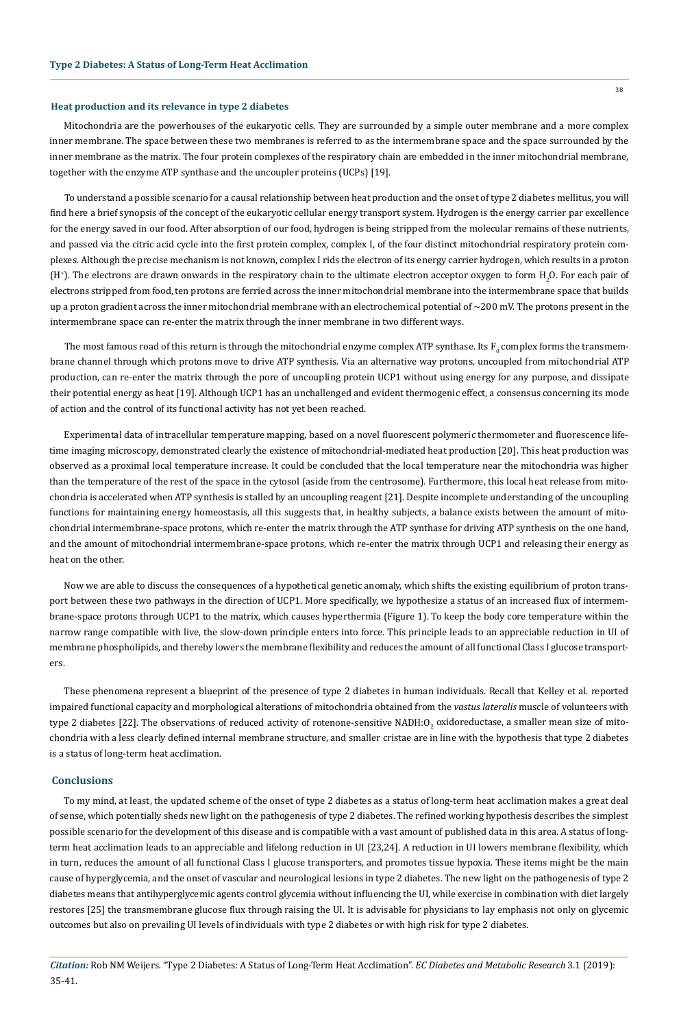#### **Heat production and its relevance in type 2 diabetes**

Mitochondria are the powerhouses of the eukaryotic cells. They are surrounded by a simple outer membrane and a more complex inner membrane. The space between these two membranes is referred to as the intermembrane space and the space surrounded by the inner membrane as the matrix. The four protein complexes of the respiratory chain are embedded in the inner mitochondrial membrane, together with the enzyme ATP synthase and the uncoupler proteins (UCPs) [19].

To understand a possible scenario for a causal relationship between heat production and the onset of type 2 diabetes mellitus, you will find here a brief synopsis of the concept of the eukaryotic cellular energy transport system. Hydrogen is the energy carrier par excellence for the energy saved in our food. After absorption of our food, hydrogen is being stripped from the molecular remains of these nutrients, and passed via the citric acid cycle into the first protein complex, complex I, of the four distinct mitochondrial respiratory protein complexes. Although the precise mechanism is not known, complex I rids the electron of its energy carrier hydrogen, which results in a proton (H<sup>+</sup>). The electrons are drawn onwards in the respiratory chain to the ultimate electron acceptor oxygen to form H<sub>2</sub>O. For each pair of electrons stripped from food, ten protons are ferried across the inner mitochondrial membrane into the intermembrane space that builds up a proton gradient across the inner mitochondrial membrane with an electrochemical potential of  $\sim$ 200 mV. The protons present in the intermembrane space can re-enter the matrix through the inner membrane in two different ways.

The most famous road of this return is through the mitochondrial enzyme complex ATP synthase. Its  ${\rm F}_0$  complex forms the transmembrane channel through which protons move to drive ATP synthesis. Via an alternative way protons, uncoupled from mitochondrial ATP production, can re-enter the matrix through the pore of uncoupling protein UCP1 without using energy for any purpose, and dissipate their potential energy as heat [19]. Although UCP1 has an unchallenged and evident thermogenic effect, a consensus concerning its mode of action and the control of its functional activity has not yet been reached.

Experimental data of intracellular temperature mapping, based on a novel fluorescent polymeric thermometer and fluorescence lifetime imaging microscopy, demonstrated clearly the existence of mitochondrial-mediated heat production [20]. This heat production was observed as a proximal local temperature increase. It could be concluded that the local temperature near the mitochondria was higher than the temperature of the rest of the space in the cytosol (aside from the centrosome). Furthermore, this local heat release from mitochondria is accelerated when ATP synthesis is stalled by an uncoupling reagent [21]. Despite incomplete understanding of the uncoupling functions for maintaining energy homeostasis, all this suggests that, in healthy subjects, a balance exists between the amount of mitochondrial intermembrane-space protons, which re-enter the matrix through the ATP synthase for driving ATP synthesis on the one hand, and the amount of mitochondrial intermembrane-space protons, which re-enter the matrix through UCP1 and releasing their energy as heat on the other.

Now we are able to discuss the consequences of a hypothetical genetic anomaly, which shifts the existing equilibrium of proton transport between these two pathways in the direction of UCP1. More specifically, we hypothesize a status of an increased flux of intermembrane-space protons through UCP1 to the matrix, which causes hyperthermia (Figure 1). To keep the body core temperature within the narrow range compatible with live, the slow-down principle enters into force. This principle leads to an appreciable reduction in UI of membrane phospholipids, and thereby lowers the membrane flexibility and reduces the amount of all functional Class I glucose transporters.

These phenomena represent a blueprint of the presence of type 2 diabetes in human individuals. Recall that Kelley et al. reported impaired functional capacity and morphological alterations of mitochondria obtained from the *vastus lateralis* muscle of volunteers with type 2 diabetes [22]. The observations of reduced activity of rotenone-sensitive NADH:O<sub>2</sub> oxidoreductase, a smaller mean size of mitochondria with a less clearly defined internal membrane structure, and smaller cristae are in line with the hypothesis that type 2 diabetes is a status of long-term heat acclimation.

#### **Conclusions**

To my mind, at least, the updated scheme of the onset of type 2 diabetes as a status of long-term heat acclimation makes a great deal of sense, which potentially sheds new light on the pathogenesis of type 2 diabetes. The refined working hypothesis describes the simplest possible scenario for the development of this disease and is compatible with a vast amount of published data in this area. A status of longterm heat acclimation leads to an appreciable and lifelong reduction in UI [23,24]. A reduction in UI lowers membrane flexibility, which in turn, reduces the amount of all functional Class I glucose transporters, and promotes tissue hypoxia. These items might be the main cause of hyperglycemia, and the onset of vascular and neurological lesions in type 2 diabetes. The new light on the pathogenesis of type 2 diabetes means that antihyperglycemic agents control glycemia without influencing the UI, while exercise in combination with diet largely restores [25] the transmembrane glucose flux through raising the UI. It is advisable for physicians to lay emphasis not only on glycemic outcomes but also on prevailing UI levels of individuals with type 2 diabetes or with high risk for type 2 diabetes.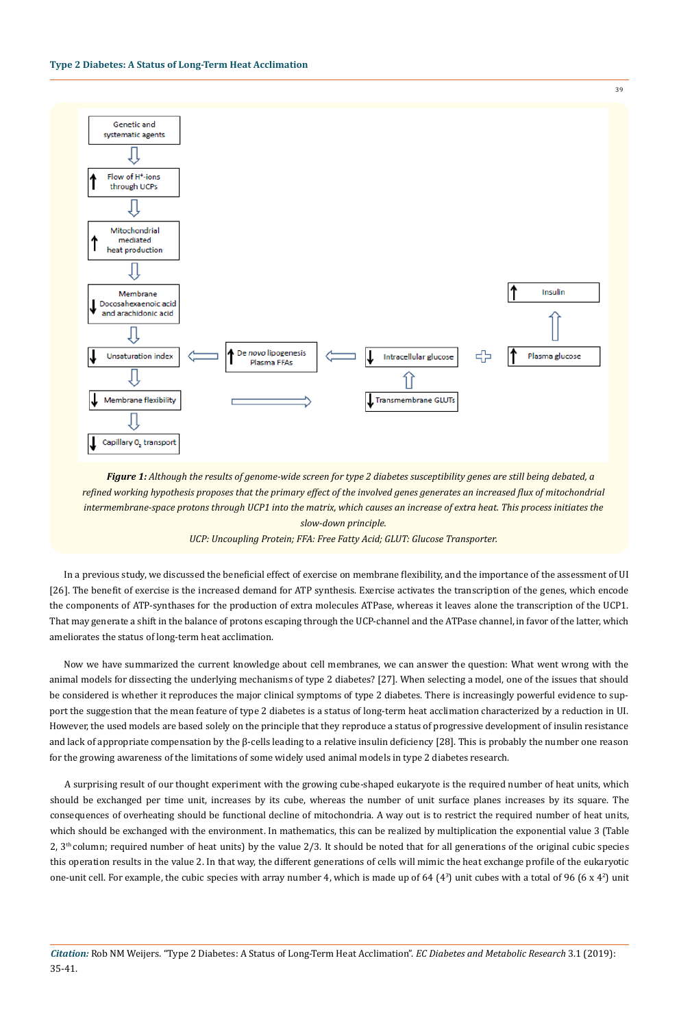

*Figure 1: Although the results of genome-wide screen for type 2 diabetes susceptibility genes are still being debated, a refined working hypothesis proposes that the primary effect of the involved genes generates an increased flux of mitochondrial intermembrane-space protons through UCP1 into the matrix, which causes an increase of extra heat. This process initiates the slow-down principle.* 

#### *UCP: Uncoupling Protein; FFA: Free Fatty Acid; GLUT: Glucose Transporter.*

In a previous study, we discussed the beneficial effect of exercise on membrane flexibility, and the importance of the assessment of UI [26]. The benefit of exercise is the increased demand for ATP synthesis. Exercise activates the transcription of the genes, which encode the components of ATP-synthases for the production of extra molecules ATPase, whereas it leaves alone the transcription of the UCP1. That may generate a shift in the balance of protons escaping through the UCP-channel and the ATPase channel, in favor of the latter, which ameliorates the status of long-term heat acclimation.

Now we have summarized the current knowledge about cell membranes, we can answer the question: What went wrong with the animal models for dissecting the underlying mechanisms of type 2 diabetes? [27]. When selecting a model, one of the issues that should be considered is whether it reproduces the major clinical symptoms of type 2 diabetes. There is increasingly powerful evidence to support the suggestion that the mean feature of type 2 diabetes is a status of long-term heat acclimation characterized by a reduction in UI. However, the used models are based solely on the principle that they reproduce a status of progressive development of insulin resistance and lack of appropriate compensation by the β-cells leading to a relative insulin deficiency [28]. This is probably the number one reason for the growing awareness of the limitations of some widely used animal models in type 2 diabetes research.

A surprising result of our thought experiment with the growing cube-shaped eukaryote is the required number of heat units, which should be exchanged per time unit, increases by its cube, whereas the number of unit surface planes increases by its square. The consequences of overheating should be functional decline of mitochondria. A way out is to restrict the required number of heat units, which should be exchanged with the environment. In mathematics, this can be realized by multiplication the exponential value 3 (Table  $2, 3<sup>th</sup>$  column; required number of heat units) by the value 2/3. It should be noted that for all generations of the original cubic species this operation results in the value 2. In that way, the different generations of cells will mimic the heat exchange profile of the eukaryotic one-unit cell. For example, the cubic species with array number 4, which is made up of 64  $(4<sup>3</sup>)$  unit cubes with a total of 96  $(6 \times 4<sup>2</sup>)$  unit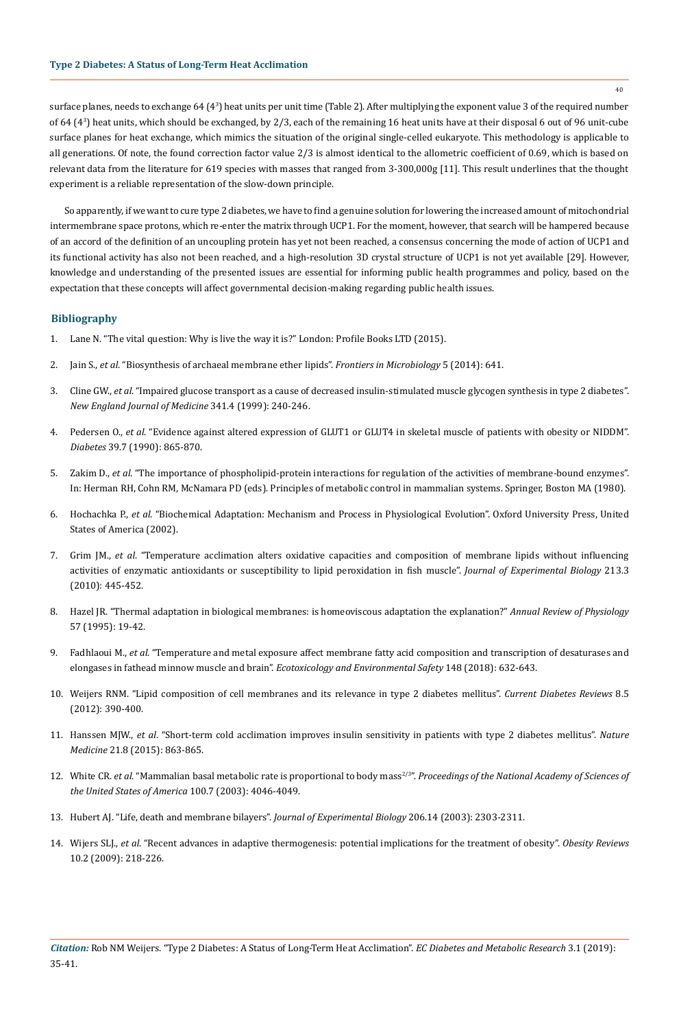surface planes, needs to exchange 64 (43) heat units per unit time (Table 2). After multiplying the exponent value 3 of the required number of 64 (43 ) heat units, which should be exchanged, by 2/3, each of the remaining 16 heat units have at their disposal 6 out of 96 unit-cube surface planes for heat exchange, which mimics the situation of the original single-celled eukaryote. This methodology is applicable to all generations. Of note, the found correction factor value 2/3 is almost identical to the allometric coefficient of 0.69, which is based on relevant data from the literature for 619 species with masses that ranged from 3-300,000g [11]. This result underlines that the thought experiment is a reliable representation of the slow-down principle.

So apparently, if we want to cure type 2 diabetes, we have to find a genuine solution for lowering the increased amount of mitochondrial intermembrane space protons, which re-enter the matrix through UCP1. For the moment, however, that search will be hampered because of an accord of the definition of an uncoupling protein has yet not been reached, a consensus concerning the mode of action of UCP1 and its functional activity has also not been reached, and a high-resolution 3D crystal structure of UCP1 is not yet available [29]. However, knowledge and understanding of the presented issues are essential for informing public health programmes and policy, based on the expectation that these concepts will affect governmental decision-making regarding public health issues.

# **Bibliography**

- 1. [Lane N. "The vital question: Why is live the way it is?" London: Profile Books LTD \(2015\).](http://nick-lane.net/books/the-vital-question-why-is-life-the-way-it-is/)
- 2. Jain S., *et al*[. "Biosynthesis of archaeal membrane ether lipids".](https://www.ncbi.nlm.nih.gov/pubmed/25505460) *Frontiers in Microbiology* 5 (2014): 641.
- 3. Cline GW., *et al*[. "Impaired glucose transport as a cause of decreased insulin-stimulated muscle glycogen synthesis in type 2 diabetes".](https://www.ncbi.nlm.nih.gov/pubmed/10413736) *[New England Journal of Medicine](https://www.ncbi.nlm.nih.gov/pubmed/10413736)* 341.4 (1999): 240-246.
- 4. Pedersen O., *et al*[. "Evidence against altered expression of GLUT1 or GLUT4 in skeletal muscle of patients with obesity or NIDDM".](https://www.ncbi.nlm.nih.gov/pubmed/2354749) *Diabetes* [39.7 \(1990\): 865-870.](https://www.ncbi.nlm.nih.gov/pubmed/2354749)
- 5. Zakim D., *et al*[. "The importance of phospholipid-protein interactions for regulation of the activities of membrane-bound enzymes".](https://link.springer.com/chapter/10.1007/978-1-4613-3006-6_10) [In: Herman RH, Cohn RM, McNamara PD \(eds\). Principles of metabolic control in mammalian systems. Springer, Boston MA \(1980\).](https://link.springer.com/chapter/10.1007/978-1-4613-3006-6_10)
- 6. Hochachka P., *et al*[. "Biochemical Adaptation: Mechanism and Process in Physiological Evolution". Oxford University Press, United](https://iubmb.onlinelibrary.wiley.com/doi/full/10.1002/bmb.2002.494030030071) [States of America \(2002\).](https://iubmb.onlinelibrary.wiley.com/doi/full/10.1002/bmb.2002.494030030071)
- 7. Grim JM., *et al*[. "Temperature acclimation alters oxidative capacities and composition of membrane lipids without influencing](https://www.ncbi.nlm.nih.gov/pubmed/20086129) [activities of enzymatic antioxidants or susceptibility to lipid peroxidation in fish muscle".](https://www.ncbi.nlm.nih.gov/pubmed/20086129) *Journal of Experimental Biology* 213.3 [\(2010\): 445-452.](https://www.ncbi.nlm.nih.gov/pubmed/20086129)
- 8. [Hazel JR. "Thermal adaptation in biological membranes: is homeoviscous adaptation the explanation?"](https://www.ncbi.nlm.nih.gov/pubmed/7778864) *Annual Review of Physiology*  [57 \(1995\): 19-42.](https://www.ncbi.nlm.nih.gov/pubmed/7778864)
- 9. Fadhlaoui M., *et al*[. "Temperature and metal exposure affect membrane fatty acid composition and transcription of desaturases and](https://www.ncbi.nlm.nih.gov/pubmed/29132009) [elongases in fathead minnow muscle and brain".](https://www.ncbi.nlm.nih.gov/pubmed/29132009) *Ecotoxicology and Environmental Safety* 148 (2018): 632-643.
- 10. [Weijers RNM. "Lipid composition of cell membranes and its relevance in type 2 diabetes mellitus".](https://www.ncbi.nlm.nih.gov/pubmed/22698081) *Current Diabetes Reviews* 8.5 [\(2012\): 390-400.](https://www.ncbi.nlm.nih.gov/pubmed/22698081)
- 11. Hanssen MJW., *et al*[. "Short-term cold acclimation improves insulin sensitivity in patients with type 2 diabetes mellitus".](https://www.ncbi.nlm.nih.gov/pubmed/26147760) *Nature Medicine* [21.8 \(2015\): 863-865.](https://www.ncbi.nlm.nih.gov/pubmed/26147760)
- 12. White CR. *et al.* "Mammalian basal metabolic rate is proportional to body mass<sup>2/3</sup>". Proceedings of the National Academy of Sciences of *[the United States of America](https://www.ncbi.nlm.nih.gov/pubmed/12637681)* 100.7 (2003): 4046-4049.
- 13. [Hubert AJ. "Life, death and membrane bilayers".](https://www.ncbi.nlm.nih.gov/pubmed/12796449) *Journal of Experimental Biology* 206.14 (2003): 2303-2311.
- 14. Wijers SLJ., *et al*[. "Recent advances in adaptive thermogenesis: potential implications for the treatment of obesity".](https://www.ncbi.nlm.nih.gov/pubmed/19021870) *Obesity Reviews*  [10.2 \(2009\): 218-226.](https://www.ncbi.nlm.nih.gov/pubmed/19021870)

40